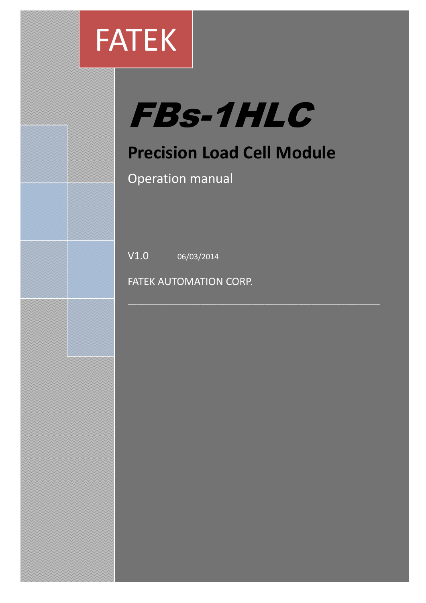

# FBs-1HLC

# **Precision Load Cell Module**

\_\_\_\_\_\_\_\_\_\_\_\_\_\_\_\_\_\_\_\_\_\_\_\_\_\_\_\_\_\_\_\_\_\_\_\_\_\_\_\_\_\_\_\_\_\_\_\_\_\_\_\_\_\_\_\_\_\_\_

Operation manual

 $V1.0$  06/03/2014

FATEK AUTOMATION CORP.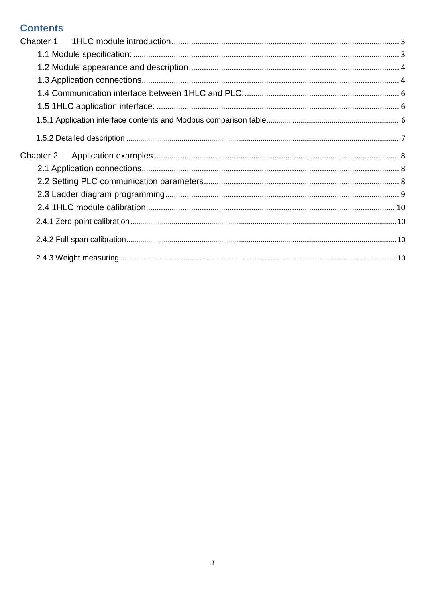#### **Contents**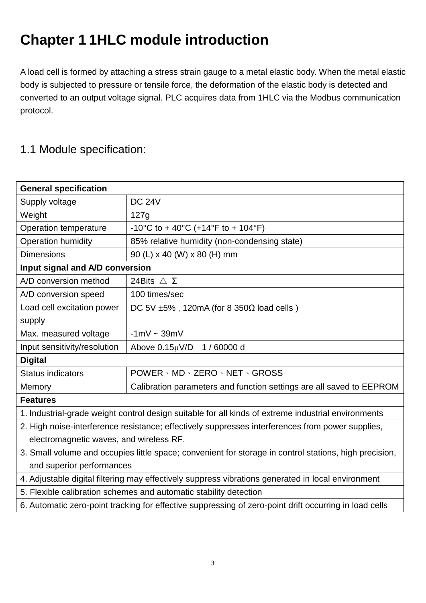# <span id="page-2-0"></span>**Chapter 1 1HLC module introduction**

A load cell is formed by attaching a stress strain gauge to a metal elastic body. When the metal elastic body is subjected to pressure or tensile force, the deformation of the elastic body is detected and converted to an output voltage signal. PLC acquires data from 1HLC via the Modbus communication protocol.

#### <span id="page-2-1"></span>1.1 Module specification:

| <b>General specification</b>                                                                           |                                                                                                     |  |  |  |  |
|--------------------------------------------------------------------------------------------------------|-----------------------------------------------------------------------------------------------------|--|--|--|--|
| Supply voltage                                                                                         | <b>DC 24V</b>                                                                                       |  |  |  |  |
| Weight                                                                                                 | 127g                                                                                                |  |  |  |  |
| Operation temperature                                                                                  | -10°C to + 40°C (+14°F to + 104°F)                                                                  |  |  |  |  |
| <b>Operation humidity</b>                                                                              | 85% relative humidity (non-condensing state)                                                        |  |  |  |  |
| <b>Dimensions</b>                                                                                      | 90 (L) x 40 (W) x 80 (H) mm                                                                         |  |  |  |  |
| Input signal and A/D conversion                                                                        |                                                                                                     |  |  |  |  |
| A/D conversion method                                                                                  | 24Bits $\wedge$ $\Sigma$                                                                            |  |  |  |  |
| A/D conversion speed                                                                                   | 100 times/sec                                                                                       |  |  |  |  |
| Load cell excitation power                                                                             | DC 5V $\pm$ 5%, 120mA (for 8 350 $\Omega$ load cells)                                               |  |  |  |  |
| supply                                                                                                 |                                                                                                     |  |  |  |  |
| Max. measured voltage                                                                                  | $-1mV \sim 39mV$                                                                                    |  |  |  |  |
| Input sensitivity/resolution                                                                           | Above 0.15µV/D 1 / 60000 d                                                                          |  |  |  |  |
| <b>Digital</b>                                                                                         |                                                                                                     |  |  |  |  |
| <b>Status indicators</b>                                                                               | POWER · MD · ZERO · NET · GROSS                                                                     |  |  |  |  |
| Memory                                                                                                 | Calibration parameters and function settings are all saved to EEPROM                                |  |  |  |  |
| <b>Features</b>                                                                                        |                                                                                                     |  |  |  |  |
|                                                                                                        | 1. Industrial-grade weight control design suitable for all kinds of extreme industrial environments |  |  |  |  |
| 2. High noise-interference resistance; effectively suppresses interferences from power supplies,       |                                                                                                     |  |  |  |  |
| electromagnetic waves, and wireless RF.                                                                |                                                                                                     |  |  |  |  |
| 3. Small volume and occupies little space; convenient for storage in control stations, high precision, |                                                                                                     |  |  |  |  |
| and superior performances                                                                              |                                                                                                     |  |  |  |  |
| 4. Adjustable digital filtering may effectively suppress vibrations generated in local environment     |                                                                                                     |  |  |  |  |
| 5. Flexible calibration schemes and automatic stability detection                                      |                                                                                                     |  |  |  |  |
| 6. Automatic zero-point tracking for effective suppressing of zero-point drift occurring in load cells |                                                                                                     |  |  |  |  |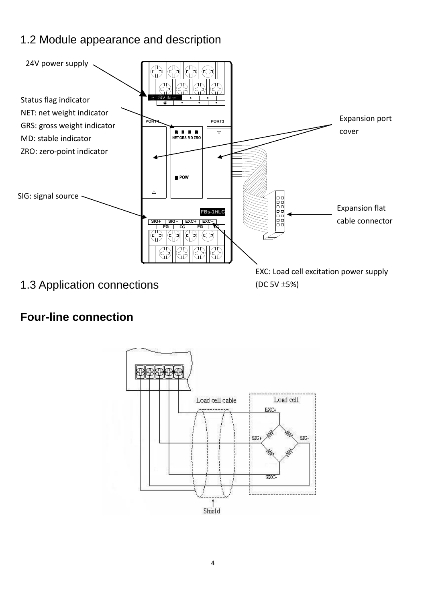## <span id="page-3-0"></span>1.2 Module appearance and description



#### <span id="page-3-1"></span>**Four-line connection**

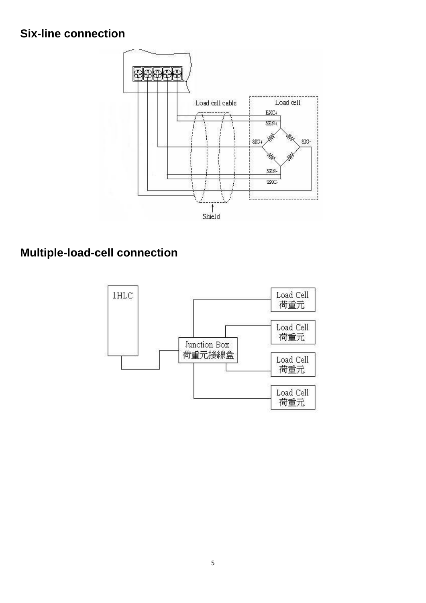#### **Six-line connection**



## **Multiple-load-cell connection**

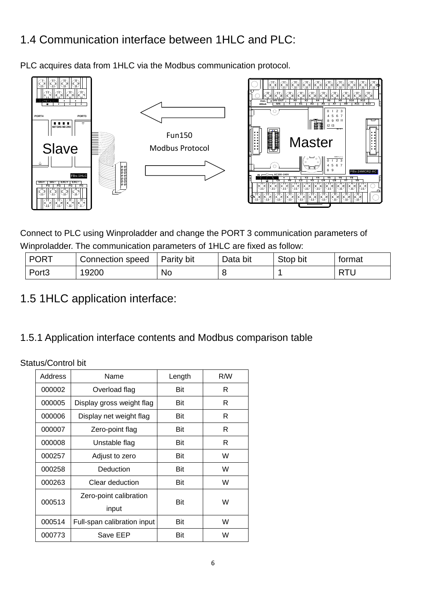## <span id="page-5-0"></span>1.4 Communication interface between 1HLC and PLC:

PLC acquires data from 1HLC via the Modbus communication protocol.



Connect to PLC using Winproladder and change the PORT 3 communication parameters of Winproladder. The communication parameters of 1HLC are fixed as follow:

| <b>PORT</b>       | Connection speed | Parity bit | Data bit | Stop bit | tormat |
|-------------------|------------------|------------|----------|----------|--------|
| Port <sub>3</sub> | 19200            | No         |          |          | DT'    |

<span id="page-5-1"></span>1.5 1HLC application interface:

#### <span id="page-5-2"></span>1.5.1 Application interface contents and Modbus comparison table

Status/Control bit

| Address | Name                        | Length | R/W |
|---------|-----------------------------|--------|-----|
| 000002  | Overload flag               | Bit    | R   |
| 000005  | Display gross weight flag   | Bit    | R   |
| 000006  | Display net weight flag     | Bit    | R   |
| 000007  | Zero-point flag             | Bit    | R   |
| 000008  | Unstable flag               | Bit    | R   |
| 000257  | Adjust to zero              | Bit    | W   |
| 000258  | Deduction                   | Bit    | W   |
| 000263  | Clear deduction             | Bit    | W   |
| 000513  | Zero-point calibration      | Bit    | W   |
|         | input                       |        |     |
| 000514  | Full-span calibration input | Bit    | W   |
| 000773  | Save EEP                    | Bit    | W   |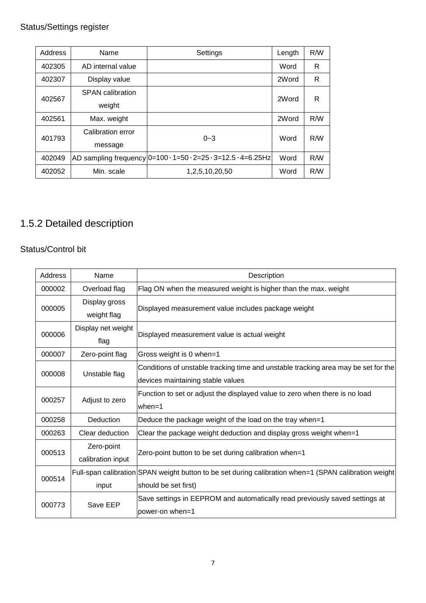#### Status/Settings register

| Address | Name                    | Settings                                                      | Length | R/W |
|---------|-------------------------|---------------------------------------------------------------|--------|-----|
| 402305  | AD internal value       |                                                               | Word   | R   |
| 402307  | Display value           |                                                               | 2Word  | R   |
| 402567  | <b>SPAN</b> calibration |                                                               | 2Word  | R   |
|         | weight                  |                                                               |        |     |
| 402561  | Max. weight             |                                                               | 2Word  | R/W |
| 401793  | Calibration error       | $0 - 3$                                                       | Word   | R/W |
|         | message                 |                                                               |        |     |
| 402049  |                         | AD sampling frequency 0=100 \ 1=50 \ 2=25 \ 3=12.5 \ 4=6.25Hz | Word   | R/W |
| 402052  | Min. scale              | 1, 2, 5, 10, 20, 50                                           | Word   | R/W |

#### <span id="page-6-0"></span>1.5.2 Detailed description

#### Status/Control bit

| Address | Name                            | Description                                                                                                             |
|---------|---------------------------------|-------------------------------------------------------------------------------------------------------------------------|
| 000002  | Overload flag                   | Flag ON when the measured weight is higher than the max. weight                                                         |
| 000005  | Display gross<br>weight flag    | Displayed measurement value includes package weight                                                                     |
| 000006  | Display net weight<br>flag      | Displayed measurement value is actual weight                                                                            |
| 000007  | Zero-point flag                 | Gross weight is 0 when=1                                                                                                |
| 000008  | Unstable flag                   | Conditions of unstable tracking time and unstable tracking area may be set for the<br>devices maintaining stable values |
| 000257  | Adjust to zero                  | Function to set or adjust the displayed value to zero when there is no load<br>$when=1$                                 |
| 000258  | Deduction                       | Deduce the package weight of the load on the tray when=1                                                                |
| 000263  | Clear deduction                 | Clear the package weight deduction and display gross weight when=1                                                      |
| 000513  | Zero-point<br>calibration input | Zero-point button to be set during calibration when=1                                                                   |
|         |                                 | Full-span calibration SPAN weight button to be set during calibration when=1 (SPAN calibration weight                   |
| 000514  | input                           | should be set first)                                                                                                    |
| 000773  | Save EEP                        | Save settings in EEPROM and automatically read previously saved settings at<br>power-on when=1                          |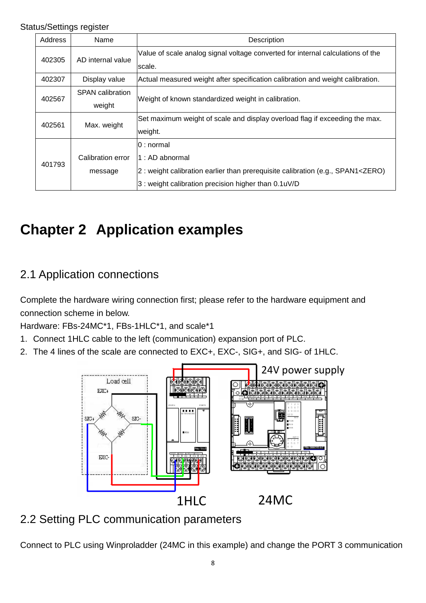#### Status/Settings register

| Address | Name                              | Description                                                                                                                                                                         |  |  |  |
|---------|-----------------------------------|-------------------------------------------------------------------------------------------------------------------------------------------------------------------------------------|--|--|--|
| 402305  | AD internal value                 | Value of scale analog signal voltage converted for internal calculations of the<br>scale.                                                                                           |  |  |  |
| 402307  | Display value                     | Actual measured weight after specification calibration and weight calibration.                                                                                                      |  |  |  |
| 402567  | <b>SPAN</b> calibration<br>weight | Weight of known standardized weight in calibration.                                                                                                                                 |  |  |  |
| 402561  | Max. weight                       | Set maximum weight of scale and display overload flag if exceeding the max.<br>weight.                                                                                              |  |  |  |
| 401793  | Calibration error<br>message      | 0 : normal<br>1 : AD abnormal<br>2: weight calibration earlier than prerequisite calibration (e.g., SPAN1 <zero)<br>3 : weight calibration precision higher than 0.1uV/D</zero)<br> |  |  |  |

# <span id="page-7-0"></span>**Chapter 2 Application examples**

#### <span id="page-7-1"></span>2.1 Application connections

Complete the hardware wiring connection first; please refer to the hardware equipment and connection scheme in below.

Hardware: FBs-24MC\*1, FBs-1HLC\*1, and scale\*1

- 1. Connect 1HLC cable to the left (communication) expansion port of PLC.
- 2. The 4 lines of the scale are connected to EXC+, EXC-, SIG+, and SIG- of 1HLC.



#### <span id="page-7-2"></span>2.2 Setting PLC communication parameters

Connect to PLC using Winproladder (24MC in this example) and change the PORT 3 communication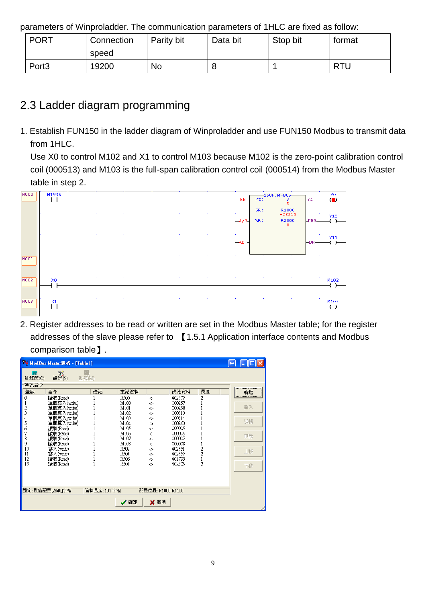parameters of Winproladder. The communication parameters of 1HLC are fixed as follow:

| <b>PORT</b>       | Connection<br>speed | Parity bit | Data bit | Stop bit | format     |
|-------------------|---------------------|------------|----------|----------|------------|
| Port <sub>3</sub> | 19200               | No         | U        |          | <b>RTU</b> |

## <span id="page-8-0"></span>2.3 Ladder diagram programming

1. Establish FUN150 in the ladder diagram of Winproladder and use FUN150 Modbus to transmit data from 1HLC.

Use X0 to control M102 and X1 to control M103 because M102 is the zero-point calibration control coil (000513) and M103 is the full-span calibration control coil (000514) from the Modbus Master table in step 2.



2. Register addresses to be read or written are set in the Modbus Master table; for the register addresses of the slave please refer to 【1.5.1 Application interface contents and Modbus comparison table】.

|                                                                   | <sup>開</sup> ModBus Master表格 - [Table1]                                                                                                                                               |              |                                                                                                              |                                                                                                                   |                                                                                                                                          |                                      | $\leftrightarrow$ | $\  \Box \  \times$<br>ð   |
|-------------------------------------------------------------------|---------------------------------------------------------------------------------------------------------------------------------------------------------------------------------------|--------------|--------------------------------------------------------------------------------------------------------------|-------------------------------------------------------------------------------------------------------------------|------------------------------------------------------------------------------------------------------------------------------------------|--------------------------------------|-------------------|----------------------------|
| 扁<br>計算機(C)<br>通訊命令                                               | 71<br>設定(S)                                                                                                                                                                           | 監視(M)        |                                                                                                              |                                                                                                                   |                                                                                                                                          |                                      |                   |                            |
| 筆數                                                                | 命令                                                                                                                                                                                    | 僕站           | 主站資料                                                                                                         |                                                                                                                   | 僕站資料                                                                                                                                     | 長度                                   |                   | 新增                         |
| 0<br>2<br>3<br>4<br>5<br>6<br>7<br>8<br>9<br>10<br>11<br>12<br>13 | 讀取(Read)<br>單個寫入(write)<br>單個寫入(write)<br>重個寫入(write)<br>單個寫入(write)<br>單個寫入(write)<br>讀取(Read)<br>讀取(Read)<br>讀取(Read)<br>讀取(Read)<br>寫入(write)<br>寫入(write)<br>讀取(Read)<br>讀取(Read) |              | R500<br>M100<br>M101<br>M102<br>M103<br>M104<br>M105<br>M106<br>M107<br>M108<br>R502<br>R504<br>R506<br>R508 | $\leftarrow$<br>-><br>-><br>-><br>-><br>-><br>$\leftarrow$<br>$\leftarrow$<br><-<br>$\leq$<br>-><br>-><br>÷<br>ċ. | 402307<br>000257<br>000258<br>000513<br>000514<br>000263<br>000005<br>000006<br>000007<br>000008<br>402561<br>402567<br>401793<br>402305 | 2<br>$\frac{2}{2}$<br>$\overline{2}$ |                   | 插入<br>編輯<br>刪除<br>上移<br>下移 |
|                                                                   | 設定:動態配置[2840]字組                                                                                                                                                                       | 資料長度: 101 字組 | √確定                                                                                                          | 配置位置: R1000-R1100<br>X 取消                                                                                         |                                                                                                                                          |                                      |                   |                            |